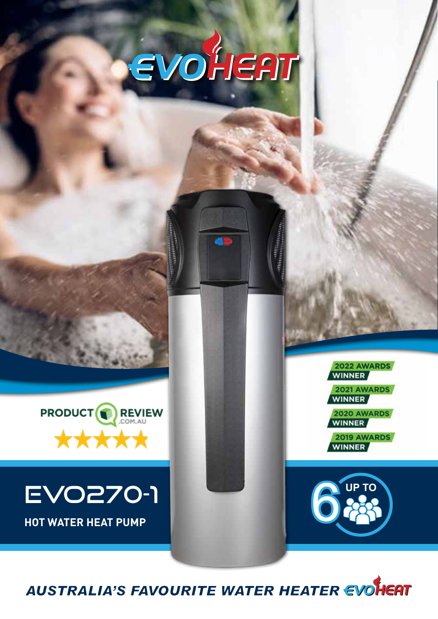



# **EVO270-1** 6

2022 AWARDS **WINNER 2021 AWARDS** 

2020 AWARDS

2019 AWARDS **WINNER** 



**AUSTRALIA'S FAVOURITE WATER HEATER EVOHEAT**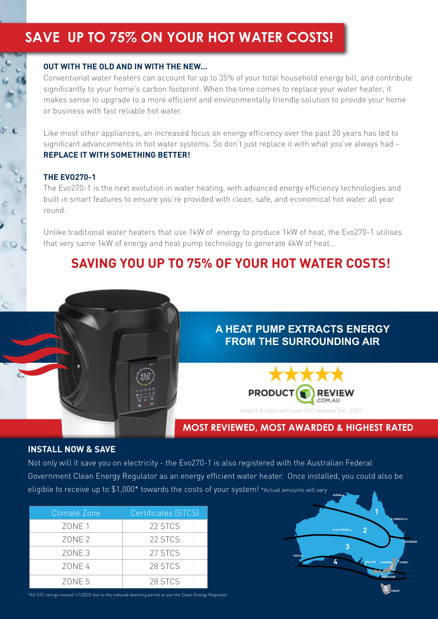# **SAVE UP TO 75% ON YOUR HOT WATER COSTS!**

#### **OUT WITH THE OLD AND IN WITH THE NEW...**

Conventional water heaters can account for up to 35% of your total household energy bill, and contribute significantly to your home's carbon footprint. When the time comes to replace your water heater, it makes sense to upgrade to a more efficient and environmentally friendly solution to provide your home or business with fast reliable hot water.

Like most other appliances, an increased focus on energy efficiency over the past 20 years has led to significant advancements in hot water systems. So don't just replace it with what you've always had – **REPLACE IT WITH SOMETHING BETTER!**

#### **THE EVO270-1**

The Evo270-1 is the next evolution in water heating, with advanced energy efficiency technologies and built in smart features to ensure you're provided with clean, safe, and economical hot water all year round.

Unlike traditional water heaters that use 1kW of energy to produce 1kW of heat, the Evo270-1 utilises that very same 1kW of energy and heat pump technology to generate 4kW of heat...

## **SAVING YOU UP TO 75% OF YOUR HOT WATER COSTS!**



#### **A HEAT PUMP EXTRACTS ENERGY FROM THE SURROUNDING AIR**



#### **MOST REVIEWED, MOST AWARDED & HIGHEST RATED**

**PERTH**

**5**

**MELBOURNE**

**CANBERRA SYDNEY**

**HOBART**

**BRISBANE**

**TOWNSVILLE**

**5**

**1**

**2**

**ADELAIDE**

**3**

**ALICE SPRINGS**

**4**

**DARWIN**

#### **INSTALL NOW & SAVE**

Not only will it save you on electricity - the Evo270-1 is also registered with the Australian Federal Government Clean Energy Regulator as an energy efficient water heater. Once installed, you could also be eligible to receive up to \$1,000\* towards the costs of your system! \*Actual amounts will vary

| Climate Zone      | Certificates (STCS) |
|-------------------|---------------------|
| ZONE 1            | 22 STCS             |
| ZONE <sub>2</sub> | 22 STCS             |
| ZONE <sub>3</sub> | 27 STCS             |
| 70NF 4            | 28 STCS             |
| 70NF 5            | 28 STCS             |

\*All STC ratings revised 1/1/2022 due to the reduced deeming period as per the Clean Energy Regulator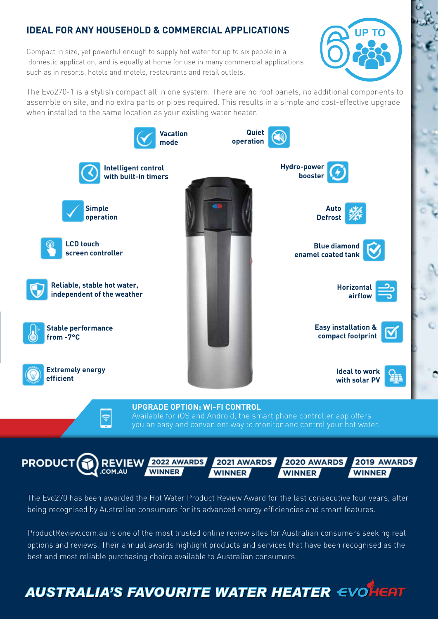#### **IDEAL FOR ANY HOUSEHOLD & COMMERCIAL APPLICATIONS**

Compact in size, yet powerful enough to supply hot water for up to six people in a domestic application, and is equally at home for use in many commercial applications such as in resorts, hotels and motels, restaurants and retail outlets.

The Evo270-1 is a stylish compact all in one system. There are no roof panels, no additional components to assemble on site, and no extra parts or pipes required. This results in a simple and cost-effective upgrade when installed to the same location as your existing water heater.

6

**UP TO**





The Evo270 has been awarded the Hot Water Product Review Award for the last consecutive four years, after being recognised by Australian consumers for its advanced energy efficiencies and smart features.

ProductReview.com.au is one of the most trusted online review sites for Australian consumers seeking real options and reviews. Their annual awards highlight products and services that have been recognised as the best and most reliable purchasing choice available to Australian consumers.

# **AUSTRALIA'S FAVOURITE WATER HEATER EVOLUER**